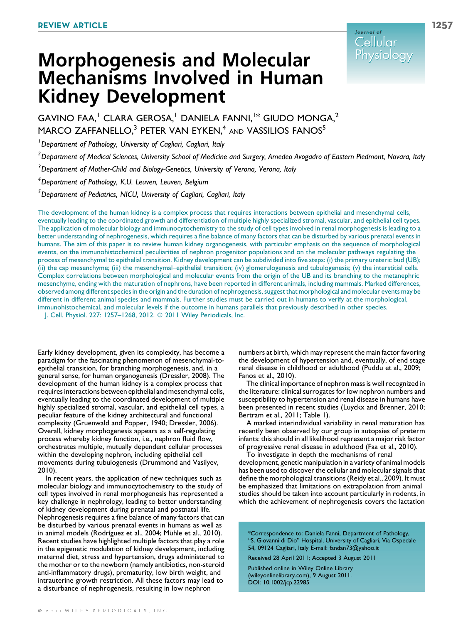# Morphogenesis and Molecular Mechanisms Involved in Human Kidney Development

GAVINO FAA,<sup>1</sup> CLARA GEROSA,<sup>1</sup> DANIELA FANNI,<sup>1\*</sup> GIUDO MONGA,<sup>2</sup> MARCO ZAFFANELLO,<sup>3</sup> PETER VAN EYKEN,<sup>4</sup> AND VASSILIOS FANOS<sup>5</sup>

<sup>1</sup> Department of Pathology, University of Cagliari, Cagliari, Italy

 $^2$ Department of Medical Sciences, University School of Medicine and Surgery, Amedeo Avogadro of Eastern Piedmont, Novara, Italy

<sup>3</sup> Department of Mother-Child and Biology-Genetics, University of Verona, Verona, Italy

4 Department of Pathology, K.U. Leuven, Leuven, Belgium

<sup>5</sup>Department of Pediatrics, NICU, University of Cagliari, Cagliari, Italy

The development of the human kidney is a complex process that requires interactions between epithelial and mesenchymal cells, eventually leading to the coordinated growth and differentiation of multiple highly specialized stromal, vascular, and epithelial cell types. The application of molecular biology and immunocytochemistry to the study of cell types involved in renal morphogenesis is leading to a better understanding of nephrogenesis, which requires a fine balance of many factors that can be disturbed by various prenatal events in humans. The aim of this paper is to review human kidney organogenesis, with particular emphasis on the sequence of morphological events, on the immunohistochemical peculiarities of nephron progenitor populations and on the molecular pathways regulating the process of mesenchymal to epithelial transition. Kidney development can be subdivided into five steps: (i) the primary ureteric bud (UB); (ii) the cap mesenchyme; (iii) the mesenchymal–epithelial transition; (iv) glomerulogenesis and tubulogenesis; (v) the interstitial cells. Complex correlations between morphological and molecular events from the origin of the UB and its branching to the metanephric mesenchyme, ending with the maturation of nephrons, have been reported in different animals, including mammals. Marked differences, observed among different species in the origin and the duration of nephrogenesis, suggest that morphological and molecular events may be different in different animal species and mammals. Further studies must be carried out in humans to verify at the morphological, immunohistochemical, and molecular levels if the outcome in humans parallels that previously described in other species. J. Cell. Physiol. 227: 1257–1268, 2012. 2011 Wiley Periodicals, Inc.

Early kidney development, given its complexity, has become a paradigm for the fascinating phenomenon of mesenchymal-toepithelial transition, for branching morphogenesis, and, in a general sense, for human organogenesis (Dressler, 2008). The development of the human kidney is a complex process that requires interactions between epithelial and mesenchymal cells, eventually leading to the coordinated development of multiple highly specialized stromal, vascular, and epithelial cell types, a peculiar feature of the kidney architectural and functional complexity (Gruenwald and Popper, 1940; Dressler, 2006). Overall, kidney morphogenesis appears as a self-regulating process whereby kidney function, i.e., nephron fluid flow, orchestrates multiple, mutually dependent cellular processes within the developing nephron, including epithelial cell movements during tubulogenesis (Drummond and Vasilyev, 2010).

In recent years, the application of new techniques such as molecular biology and immunocytochemistry to the study of cell types involved in renal morphogenesis has represented a key challenge in nephrology, leading to better understanding of kidney development during prenatal and postnatal life. Nephrogenesis requires a fine balance of many factors that can be disturbed by various prenatal events in humans as well as in animal models (Rodríguez et al., 2004; Mühle et al., 2010). Recent studies have highlighted multiple factors that play a role in the epigenetic modulation of kidney development, including maternal diet, stress and hypertension, drugs administered to the mother or to the newborn (namely antibiotics, non-steroid anti-inflammatory drugs), prematurity, low birth weight, and intrauterine growth restriction. All these factors may lead to a disturbance of nephrogenesis, resulting in low nephron

numbers at birth, which may represent the main factor favoring the development of hypertension and, eventually, of end stage renal disease in childhood or adulthood (Puddu et al., 2009; Fanos et al., 2010).

The clinical importance of nephron mass is well recognized in the literature: clinical surrogates for low nephron numbers and susceptibility to hypertension and renal disease in humans have been presented in recent studies (Luyckx and Brenner, 2010; Bertram et al., 2011; Table 1).

A marked interindividual variability in renal maturation has recently been observed by our group in autopsies of preterm infants: this should in all likelihood represent a major risk factor of progressive renal disease in adulthood (Faa et al., 2010).

To investigate in depth the mechanisms of renal

development, genetic manipulation in a variety of animal models has been used to discover the cellular and molecular signals that define the morphological transitions (Reidy et al., 2009). It must be emphasized that limitations on extrapolation from animal studies should be taken into account particularly in rodents, in which the achievement of nephrogenesis covers the lactation

\*Correspondence to: Daniela Fanni, Department of Pathology, ''S. Giovanni di Dio'' Hospital, University of Cagliari, Via Ospedale 54, 09124 Cagliari, Italy E-mail: fandan73@yahoo.it

Received 28 April 2011; Accepted 3 August 2011

Published online in Wiley Online Library (wileyonlinelibrary.com), 9 August 2011. DOI: 10.1002/jcp.22985

Journal of Cellular Cellular **Physiology**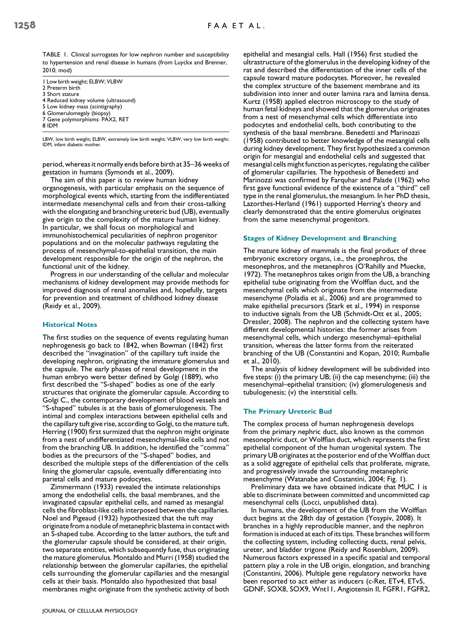TABLE 1. Clinical surrogates for low nephron number and susceptibility to hypertension and renal disease in humans (from Luyckx and Brenner, 2010; mod)

1 Low birth weight; ELBW; VLBW 2 Preterm birth 3 Short stature 4 Reduced kidney volume (ultrasound) 5 Low kidney mass (scintigraphy) 6 Glomerulomegaly (biopsy) 7 Gene polymorphisms: PAX2, RET 8 IDM

LBW, low birth weight; ELBW, extremely low birth weight; VLBW, very low birth weight; IDM, infant diabetic mother.

period, whereas it normally ends before birth at 35–36 weeks of gestation in humans (Symonds et al., 2009).

The aim of this paper is to review human kidney organogenesis, with particular emphasis on the sequence of morphological events which, starting from the indifferentiated intermediate mesenchymal cells and from their cross-talking with the elongating and branching ureteric bud (UB), eventually give origin to the complexity of the mature human kidney. In particular, we shall focus on morphological and immunohistochemical peculiarities of nephron progenitor populations and on the molecular pathways regulating the process of mesenchymal-to-epithelial transition, the main development responsible for the origin of the nephron, the functional unit of the kidney.

Progress in our understanding of the cellular and molecular mechanisms of kidney development may provide methods for improved diagnosis of renal anomalies and, hopefully, targets for prevention and treatment of childhood kidney disease (Reidy et al., 2009).

# Historical Notes

The first studies on the sequence of events regulating human nephrogenesis go back to 1842, when Bowman (1842) first described the ''invagination'' of the capillary tuft inside the developing nephron, originating the immature glomerulus and the capsule. The early phases of renal development in the human embryo were better defined by Golgi (1889), who first described the ''S-shaped'' bodies as one of the early structures that originate the glomerular capsule. According to Golgi C., the contemporary development of blood vessels and ''S-shaped'' tubules is at the basis of glomerulogenesis. The intimal and complex interactions between epithelial cells and the capillary tuft give rise, according to Golgi, to the mature tuft. Herring (1900) first surmized that the nephron might originate from a nest of undifferentiated mesenchymal-like cells and not from the branching UB. In addition, he identified the ''comma'' bodies as the precursors of the ''S-shaped'' bodies, and described the multiple steps of the differentiation of the cells lining the glomerular capsule, eventually differentiating into parietal cells and mature podocytes.

Zimmermann (1933) revealed the intimate relationships among the endothelial cells, the basal membranes, and the invaginated capsular epithelial cells, and named as mesangial cells the fibroblast-like cells interposed between the capillaries. Noel and Pigeaud (1932) hypothesized that the tuft may originate from a nodule of metanephric blastema in contact with an S-shaped tube. According to the latter authors, the tuft and the glomerular capsule should be considered, at their origin, two separate entities, which subsequently fuse, thus originating the mature glomerulus. Montaldo and Murri (1958) studied the relationship between the glomerular capillaries, the epithelial cells surrounding the glomerular capillaries and the mesangial cells at their basis. Montaldo also hypothesized that basal membranes might originate from the synthetic activity of both

epithelial and mesangial cells. Hall (1956) first studied the ultrastructure of the glomerulus in the developing kidney of the rat and described the differentiation of the inner cells of the capsule toward mature podocytes. Moreover, he revealed the complex structure of the basement membrane and its subdivision into inner and outer lamina rara and lamina densa. Kurtz (1958) applied electron microscopy to the study of human fetal kidneys and showed that the glomerulus originates from a nest of mesenchymal cells which differentiate into podocytes and endothelial cells, both contributing to the synthesis of the basal membrane. Benedetti and Marinozzi (1958) contributed to better knowledge of the mesangial cells during kidney development. They first hypothesized a common origin for mesangial and endothelial cells and suggested that mesangial cells might function as pericytes, regulating the caliber of glomerular capillaries. The hypothesis of Benedetti and Marinozzi was confirmed by Farquhar and Palade (1962) who first gave functional evidence of the existence of a ''third'' cell type in the renal glomerulus, the mesangium. In her PhD thesis, Lazorthes-Herland (1961) supported Herring's theory and clearly demonstrated that the entire glomerulus originates from the same mesenchymal progenitors.

## Stages of Kidney Development and Branching

The mature kidney of mammals is the final product of three embryonic excretory organs, i.e., the pronephros, the mesonephros, and the metanephros (O'Rahilly and Muecke, 1972). The metanephros takes origin from the UB, a branching epithelial tube originating from the Wolffian duct, and the mesenchymal cells which originate from the intermediate mesenchyme (Poladia et al., 2006) and are programmed to make epithelial precursors (Stark et al., 1994) in response to inductive signals from the UB (Schmidt-Ott et al., 2005; Dressler, 2008). The nephron and the collecting system have different developmental histories: the former arises from mesenchymal cells, which undergo mesenchymal–epithelial transition, whereas the latter forms from the reiterated branching of the UB (Constantini and Kopan, 2010; Rumballe et al., 2010).

The analysis of kidney development will be subdivided into five steps: (i) the primary UB; (ii) the cap mesenchyme; (iii) the mesenchymal–epithelial transition; (iv) glomerulogenesis and tubulogenesis; (v) the interstitial cells.

# The Primary Ureteric Bud

The complex process of human nephrogenesis develops from the primary nephric duct, also known as the common mesonephric duct, or Wolffian duct, which represents the first epithelial component of the human urogenital system. The primary UB originates at the posterior end of the Wolffian duct as a solid aggregate of epithelial cells that proliferate, migrate, and progressively invade the surrounding metanephric mesenchyme (Watanabe and Costantini, 2004; Fig. 1).

Preliminary data we have obtained indicate that MUC 1 is able to discriminate between committed and uncommitted cap mesenchymal cells (Locci, unpublished data).

In humans, the development of the UB from the Wolffian duct begins at the 28th day of gestation (Yosypiv, 2008). It branches in a highly reproducible manner, and the nephron formation is induced at each of its tips. These branches will form the collecting system, including collecting ducts, renal pelvis, ureter, and bladder trigone (Reidy and Rosenblum, 2009). Numerous factors expressed in a specific spatial and temporal pattern play a role in the UB origin, elongation, and branching (Constantini, 2006). Multiple gene regulatory networks have been reported to act either as inducers (c-Ret, ETv4, ETv5, GDNF, SOX8, SOX9, Wnt11, Angiotensin II, FGFR1, FGFR2,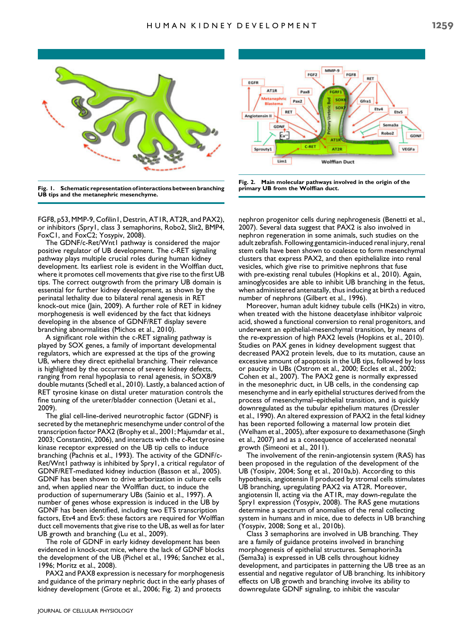

Fig. 1. Schematic representation of interactions between branching UB tips and the metanephric mesenchyme.

FGF8, p53, MMP-9, Cofilin1, Destrin, AT1R, AT2R, and PAX2), or inhibitors (Spry1, class 3 semaphorins, Robo2, Slit2, BMP4, FoxC1, and FoxC2; Yosypiv, 2008).

The GDNF/c-Ret/Wnt1 pathway is considered the major positive regulator of UB development. The c-RET signaling pathway plays multiple crucial roles during human kidney development. Its earliest role is evident in the Wolffian duct, where it promotes cell movements that give rise to the first UB tips. The correct outgrowth from the primary UB domain is essential for further kidney development, as shown by the perinatal lethality due to bilateral renal agenesis in RET knock-out mice (Jain, 2009). A further role of RET in kidney morphogenesis is well evidenced by the fact that kidneys developing in the absence of GDNF/RET display severe branching abnormalities (Michos et al., 2010).

A significant role within the c-RET signaling pathway is played by SOX genes, a family of important developmental regulators, which are expressed at the tips of the growing UB, where they direct epithelial branching. Their relevance is highlighted by the occurrence of severe kidney defects, ranging from renal hypoplasia to renal agenesis, in SOX8/9 double mutants (Schedl et al., 2010). Lastly, a balanced action of RET tyrosine kinase on distal ureter maturation controls the fine tuning of the ureter/bladder connection (Uetani et al., 2009).

The glial cell-line-derived neurotrophic factor (GDNF) is secreted by the metanephric mesenchyme under control of the transcription factor PAX2 (Brophy et al., 2001; Majumdar et al., 2003; Constantini, 2006), and interacts with the c-Ret tyrosine kinase receptor expressed on the UB tip cells to induce branching (Pachnis et al., 1993). The activity of the GDNF/c-Ret/Wnt1 pathway is inhibited by Spry1, a critical regulator of GDNF/RET-mediated kidney induction (Basson et al., 2005). GDNF has been shown to drive arborization in culture cells and, when applied near the Wolffian duct, to induce the production of supernumerary UBs (Sainio et al., 1997). A number of genes whose expression is induced in the UB by GDNF has been identified, including two ETS transcription factors, Etv4 and Etv5: these factors are required for Wolffian duct cell movements that give rise to the UB, as well as for later UB growth and branching (Lu et al., 2009).

The role of GDNF in early kidney development has been evidenced in knock-out mice, where the lack of GDNF blocks the development of the UB (Pichel et al., 1996; Sanchez et al., 1996; Moritz et al., 2008).

PAX2 and PAX8 expression is necessary for morphogenesis and guidance of the primary nephric duct in the early phases of kidney development (Grote et al., 2006; Fig. 2) and protects



Fig. 2. Main molecular pathways involved in the origin of the primary UB from the Wolffian duct.

nephron progenitor cells during nephrogenesis (Benetti et al., 2007). Several data suggest that PAX2 is also involved in nephron regeneration in some animals, such studies on the adult zebrafish. Following gentamicin-induced renal injury, renal stem cells have been shown to coalesce to form mesenchymal clusters that express PAX2, and then epithelialize into renal vesicles, which give rise to primitive nephrons that fuse with pre-existing renal tubules (Hopkins et al., 2010). Again, aminoglycosides are able to inhibit UB branching in the fetus, when administered antenatally, thus inducing at birth a reduced number of nephrons (Gilbert et al., 1996).

Moreover, human adult kidney tubule cells (HK2s) in vitro, when treated with the histone deacetylase inhibitor valproic acid, showed a functional conversion to renal progenitors, and underwent an epithelial-mesenchymal transition, by means of the re-expression of high PAX2 levels (Hopkins et al., 2010). Studies on PAX genes in kidney development suggest that decreased PAX2 protein levels, due to its mutation, cause an excessive amount of apoptosis in the UB tips, followed by loss or paucity in UBs (Ostrom et al., 2000; Eccles et al., 2002; Cohen et al., 2007). The PAX2 gene is normally expressed in the mesonephric duct, in UB cells, in the condensing cap mesenchyme and in early epithelial structures derived from the process of mesenchymal–epithelial transition, and is quickly downregulated as the tubular epithelium matures (Dressler et al., 1990). An altered expression of PAX2 in the fetal kidney has been reported following a maternal low protein diet (Welham et al., 2005), after exposure to dexamethasone (Singh et al., 2007) and as a consequence of accelerated neonatal growth (Simeoni et al., 2011).

The involvement of the renin-angiotensin system (RAS) has been proposed in the regulation of the development of the UB (Yosipiv, 2004; Song et al., 2010a,b). According to this hypothesis, angiotensin II produced by stromal cells stimulates UB branching, upregulating PAX2 via AT2R. Moreover, angiotensin II, acting via the AT1R, may down-regulate the Spry1 expression (Yosypiv, 2008). The RAS gene mutations determine a spectrum of anomalies of the renal collecting system in humans and in mice, due to defects in UB branching (Yosypiv, 2008; Song et al., 2010b).

Class 3 semaphorins are involved in UB branching. They are a family of guidance proteins involved in branching morphogenesis of epithelial structures. Semaphorin3a (Sema3a) is expressed in UB cells throughout kidney development, and participates in patterning the UB tree as an essential and negative regulator of UB branching. Its inhibitory effects on UB growth and branching involve its ability to downregulate GDNF signaling, to inhibit the vascular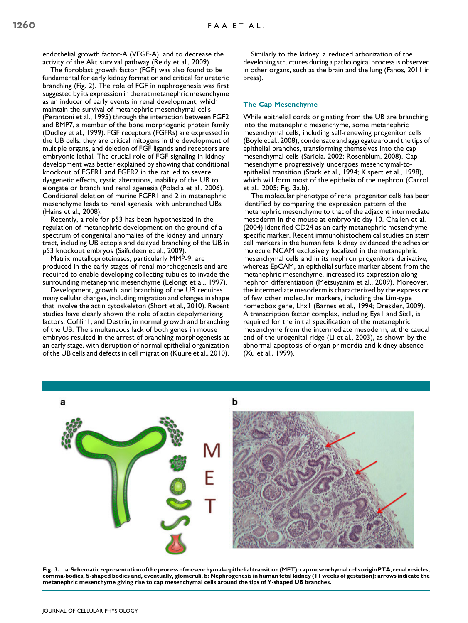endothelial growth factor-A (VEGF-A), and to decrease the activity of the Akt survival pathway (Reidy et al., 2009).

The fibroblast growth factor (FGF) was also found to be fundamental for early kidney formation and critical for ureteric branching (Fig. 2). The role of FGF in nephrogenesis was first suggested by its expression in the rat metanephric mesenchyme as an inducer of early events in renal development, which maintain the survival of metanephric mesenchymal cells (Perantoni et al., 1995) through the interaction between FGF2 and BMP7, a member of the bone morphogenic protein family (Dudley et al., 1999). FGF receptors (FGFRs) are expressed in the UB cells: they are critical mitogens in the development of multiple organs, and deletion of FGF ligands and receptors are embryonic lethal. The crucial role of FGF signaling in kidney development was better explained by showing that conditional knockout of FGFR1 and FGFR2 in the rat led to severe dysgenetic effects, cystic alterations, inability of the UB to elongate or branch and renal agenesia (Poladia et al., 2006). Conditional deletion of murine FGFR1 and 2 in metanephric mesenchyme leads to renal agenesis, with unbranched UBs (Hains et al., 2008).

Recently, a role for p53 has been hypothesized in the regulation of metanephric development on the ground of a spectrum of congenital anomalies of the kidney and urinary tract, including UB ectopia and delayed branching of the UB in p53 knockout embryos (Saifudeen et al., 2009).

Matrix metalloproteinases, particularly MMP-9, are produced in the early stages of renal morphogenesis and are required to enable developing collecting tubules to invade the surrounding metanephric mesenchyme (Lelongt et al., 1997).

Development, growth, and branching of the UB requires many cellular changes, including migration and changes in shape that involve the actin cytoskeleton (Short et al., 2010). Recent studies have clearly shown the role of actin depolymerizing factors, Cofilin1, and Destrin, in normal growth and branching of the UB. The simultaneous lack of both genes in mouse embryos resulted in the arrest of branching morphogenesis at an early stage, with disruption of normal epithelial organization of the UB cells and defects in cell migration (Kuure et al., 2010).

Similarly to the kidney, a reduced arborization of the developing structures during a pathological process is observed in other organs, such as the brain and the lung (Fanos, 2011 in press).

## The Cap Mesenchyme

While epithelial cords originating from the UB are branching into the metanephric mesenchyme, some metanephric mesenchymal cells, including self-renewing progenitor cells (Boyle et al., 2008), condensate and aggregate around the tips of epithelial branches, transforming themselves into the cap mesenchymal cells (Sariola, 2002; Rosenblum, 2008). Cap mesenchyme progressively undergoes mesenchymal-toepithelial transition (Stark et al., 1994; Kispert et al., 1998), which will form most of the epithelia of the nephron (Carroll et al., 2005; Fig. 3a,b).

The molecular phenotype of renal progenitor cells has been identified by comparing the expression pattern of the metanephric mesenchyme to that of the adjacent intermediate mesoderm in the mouse at embryonic day 10. Challen et al. (2004) identified CD24 as an early metanephric mesenchymespecific marker. Recent immunohistochemical studies on stem cell markers in the human fetal kidney evidenced the adhesion molecule NCAM exclusively localized in the metanephric mesenchymal cells and in its nephron progenitors derivative, whereas EpCAM, an epithelial surface marker absent from the metanephric mesenchyme, increased its expression along nephron differentiation (Metsuyanim et al., 2009). Moreover, the intermediate mesoderm is characterized by the expression of few other molecular markers, including the Lim-type homeobox gene, Lhx1 (Barnes et al., 1994; Dressler, 2009). A transcription factor complex, including Eya1 and Six1, is required for the initial specification of the metanephric mesenchyme from the intermediate mesoderm, at the caudal end of the urogenital ridge (Li et al., 2003), as shown by the abnormal apoptosis of organ primordia and kidney absence (Xu et al., 1999).



Fig. 3. a:Schematic representation of theprocess ofmesenchymal–epithelial transition (MET): capmesenchymal cellsoriginPTA, renal vesicles, comma-bodies, S-shaped bodies and, eventually, glomeruli. b: Nephrogenesis in human fetal kidney (11 weeks of gestation): arrows indicate the metanephric mesenchyme giving rise to cap mesenchymal cells around the tips of Y-shaped UB branches.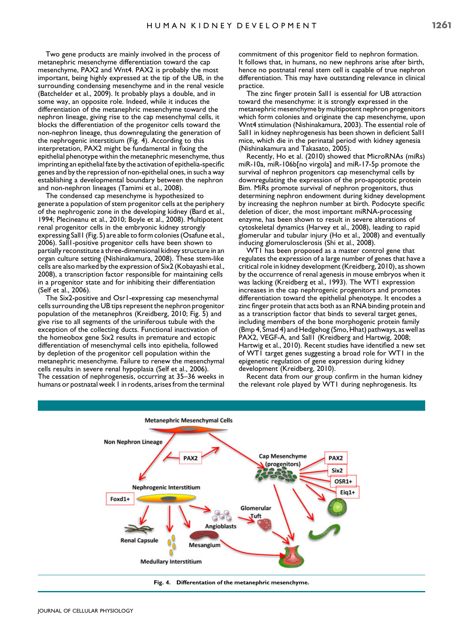Two gene products are mainly involved in the process of metanephric mesenchyme differentiation toward the cap mesenchyme, PAX2 and Wnt4. PAX2 is probably the most important, being highly expressed at the tip of the UB, in the surrounding condensing mesenchyme and in the renal vesicle (Batchelder et al., 2009). It probably plays a double, and in some way, an opposite role. Indeed, while it induces the differentiation of the metanephric mesenchyme toward the nephron lineage, giving rise to the cap mesenchymal cells, it blocks the differentiation of the progenitor cells toward the non-nephron lineage, thus downregulating the generation of the nephrogenic interstitium (Fig. 4). According to this interpretation, PAX2 might be fundamental in fixing the epithelial phenotype within the metanephric mesenchyme, thus imprinting an epithelial fate by the activation of epithelia-specific genes and by the repression of non-epithelial ones, in such a way establishing a developmental boundary between the nephron and non-nephron lineages (Tamimi et al., 2008).

The condensed cap mesenchyme is hypothesized to generate a population of stem progenitor cells at the periphery of the nephrogenic zone in the developing kidney (Bard et al., 1994; Plecineanu et al., 2010; Boyle et al., 2008). Multipotent renal progenitor cells in the embryonic kidney strongly expressing Sall1 (Fig. 5) are able to form colonies (Osafune et al., 2006). Sall1-positive progenitor cells have been shown to partially reconstitute a three-dimensional kidney structure in an organ culture setting (Nishinakamura, 2008). These stem-like cells are also marked by the expression of Six2 (Kobayashi et al., 2008), a transcription factor responsible for maintaining cells in a progenitor state and for inhibiting their differentiation (Self et al., 2006).

The Six2-positive and Osr1-expressing cap mesenchymal cells surrounding the UB tips represent the nephron progenitor population of the metanephros (Kreidberg, 2010; Fig. 5) and give rise to all segments of the uriniferous tubule with the exception of the collecting ducts. Functional inactivation of the homeobox gene Six2 results in premature and ectopic differentiation of mesenchymal cells into epithelia, followed by depletion of the progenitor cell population within the metanephric mesenchyme. Failure to renew the mesenchymal cells results in severe renal hypoplasia (Self et al., 2006). The cessation of nephrogenesis, occurring at 35–36 weeks in humans or postnatal week 1 in rodents, arises from the terminal

commitment of this progenitor field to nephron formation. It follows that, in humans, no new nephrons arise after birth, hence no postnatal renal stem cell is capable of true nephron differentiation. This may have outstanding relevance in clinical practice.

The zinc finger protein Sall1 is essential for UB attraction toward the mesenchyme: it is strongly expressed in the metanephric mesenchyme by multipotent nephron progenitors which form colonies and originate the cap mesenchyme, upon Wnt4 stimulation (Nishinakamura, 2003). The essential role of Sall1 in kidney nephrogenesis has been shown in deficient Sall1 mice, which die in the perinatal period with kidney agenesia (Nishinakamura and Takasato, 2005).

Recently, Ho et al. (2010) showed that MicroRNAs (miRs) miR-10a, miR-106b[no virgola] and miR-17-5p promote the survival of nephron progenitors cap mesenchymal cells by downregulating the expression of the pro-apoptotic protein Bim. MiRs promote survival of nephron progenitors, thus determining nephron endowment during kidney development by increasing the nephron number at birth. Podocyte specific deletion of dicer, the most important miRNA-processing enzyme, has been shown to result in severe alterations of cytoskeletal dynamics (Harvey et al., 2008), leading to rapid glomerular and tubular injury (Ho et al., 2008) and eventually inducing glomerulosclerosis (Shi et al., 2008).

WT1 has been proposed as a master control gene that regulates the expression of a large number of genes that have a critical role in kidney development (Kreidberg, 2010), as shown by the occurrence of renal agenesis in mouse embryos when it was lacking (Kreidberg et al., 1993). The WT1 expression increases in the cap nephrogenic progenitors and promotes differentiation toward the epithelial phenotype. It encodes a zinc finger protein that acts both as an RNA binding protein and as a transcription factor that binds to several target genes, including members of the bone morphogenic protein family (Bmp 4, Smad 4) and Hedgehog (Smo, Hhat) pathways, as well as PAX2, VEGF-A, and Sall1 (Kreidberg and Hartwig, 2008; Hartwig et al., 2010). Recent studies have identified a new set of WT1 target genes suggesting a broad role for WT1 in the epigenetic regulation of gene expression during kidney development (Kreidberg, 2010).

Recent data from our group confirm in the human kidney the relevant role played by WT1 during nephrogenesis. Its



Fig. 4. Differentation of the metanephric mesenchyme.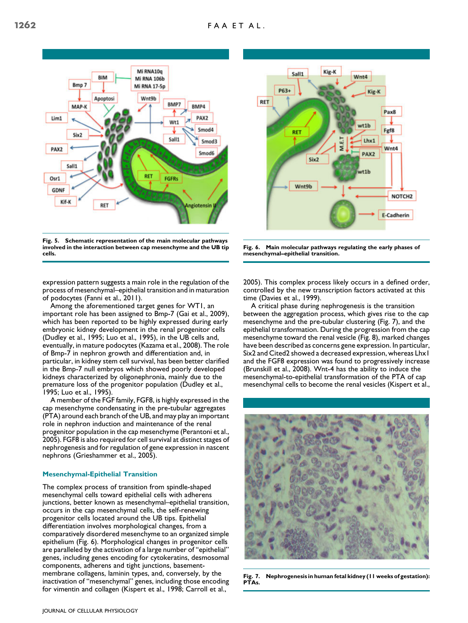

Fig. 5. Schematic representation of the main molecular pathways involved in the interaction between cap mesenchyme and the UB tip cells.

expression pattern suggests a main role in the regulation of the process of mesenchymal–epithelial transition and in maturation of podocytes (Fanni et al., 2011).

Among the aforementioned target genes for WT1, an important role has been assigned to Bmp-7 (Gai et al., 2009), which has been reported to be highly expressed during early embryonic kidney development in the renal progenitor cells (Dudley et al., 1995; Luo et al., 1995), in the UB cells and, eventually, in mature podocytes (Kazama et al., 2008). The role of Bmp-7 in nephron growth and differentiation and, in particular, in kidney stem cell survival, has been better clarified in the Bmp-7 null embryos which showed poorly developed kidneys characterized by oligonephronia, mainly due to the premature loss of the progenitor population (Dudley et al., 1995; Luo et al., 1995).

A member of the FGF family, FGF8, is highly expressed in the cap mesenchyme condensating in the pre-tubular aggregates (PTA) around each branch of the UB, and may play an important role in nephron induction and maintenance of the renal progenitor population in the cap mesenchyme (Perantoni et al., 2005). FGF8 is also required for cell survival at distinct stages of nephrogenesis and for regulation of gene expression in nascent nephrons (Grieshammer et al., 2005).

# Mesenchymal-Epithelial Transition

The complex process of transition from spindle-shaped mesenchymal cells toward epithelial cells with adherens junctions, better known as mesenchymal–epithelial transition, occurs in the cap mesenchymal cells, the self-renewing progenitor cells located around the UB tips. Epithelial differentiation involves morphological changes, from a comparatively disordered mesenchyme to an organized simple epithelium (Fig. 6). Morphological changes in progenitor cells are paralleled by the activation of a large number of ''epithelial'' genes, including genes encoding for cytokeratins, desmosomal components, adherens and tight junctions, basementmembrane collagens, laminin types, and, conversely, by the inactivation of ''mesenchymal'' genes, including those encoding for vimentin and collagen (Kispert et al., 1998; Carroll et al.,



Fig. 6. Main molecular pathways regulating the early phases of mesenchymal–epithelial transition.

2005). This complex process likely occurs in a defined order, controlled by the new transcription factors activated at this time (Davies et al., 1999).

A critical phase during nephrogenesis is the transition between the aggregation process, which gives rise to the cap mesenchyme and the pre-tubular clustering (Fig. 7), and the epithelial transformation. During the progression from the cap mesenchyme toward the renal vesicle (Fig. 8), marked changes have been described as concerns gene expression. In particular, Six2 and Cited2 showed a decreased expression, whereas Lhx1 and the FGF8 expression was found to progressively increase (Brunskill et al., 2008). Wnt-4 has the ability to induce the mesenchymal-to-epithelial transformation of the PTA of cap mesenchymal cells to become the renal vesicles (Kispert et al.,



Fig. 7. Nephrogenesis in human fetal kidney (11 weeks of gestation): PTAs.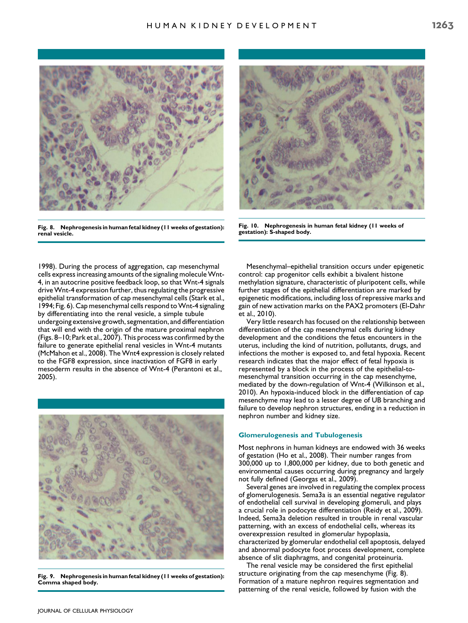

Fig. 8. Nephrogenesis in human fetal kidney (11 weeks of gestation): renal vesicle.



Fig. 10. Nephrogenesis in human fetal kidney (11 weeks of gestation): S-shaped body.

1998). During the process of aggregation, cap mesenchymal cells express increasing amounts of the signaling moleculeWnt-4, in an autocrine positive feedback loop, so that Wnt-4 signals drive Wnt-4 expression further, thus regulating the progressive epithelial transformation of cap mesenchymal cells (Stark et al., 1994; Fig. 6). Cap mesenchymal cells respond to Wnt-4 signaling by differentiating into the renal vesicle, a simple tubule undergoing extensive growth, segmentation, and differentiation that will end with the origin of the mature proximal nephron (Figs. 8–10; Park et al., 2007). This process was confirmed by the failure to generate epithelial renal vesicles in Wnt-4 mutants (McMahon et al., 2008). The Wnt4 expression is closely related to the FGF8 expression, since inactivation of FGF8 in early mesoderm results in the absence of Wnt-4 (Perantoni et al., 2005).



Fig. 9. Nephrogenesis in human fetal kidney (11 weeks of gestation): Comma shaped body.

Mesenchymal–epithelial transition occurs under epigenetic control: cap progenitor cells exhibit a bivalent histone methylation signature, characteristic of pluripotent cells, while further stages of the epithelial differentiation are marked by epigenetic modifications, including loss of repressive marks and gain of new activation marks on the PAX2 promoters (El-Dahr et al., 2010).

Very little research has focused on the relationship between differentiation of the cap mesenchymal cells during kidney development and the conditions the fetus encounters in the uterus, including the kind of nutrition, pollutants, drugs, and infections the mother is exposed to, and fetal hypoxia. Recent research indicates that the major effect of fetal hypoxia is represented by a block in the process of the epithelial-tomesenchymal transition occurring in the cap mesenchyme, mediated by the down-regulation of Wnt-4 (Wilkinson et al., 2010). An hypoxia-induced block in the differentiation of cap mesenchyme may lead to a lesser degree of UB branching and failure to develop nephron structures, ending in a reduction in nephron number and kidney size.

#### Glomerulogenesis and Tubulogenesis

Most nephrons in human kidneys are endowed with 36 weeks of gestation (Ho et al., 2008). Their number ranges from 300,000 up to 1,800,000 per kidney, due to both genetic and environmental causes occurring during pregnancy and largely not fully defined (Georgas et al., 2009).

Several genes are involved in regulating the complex process of glomerulogenesis. Sema3a is an essential negative regulator of endothelial cell survival in developing glomeruli, and plays a crucial role in podocyte differentiation (Reidy et al., 2009). Indeed, Sema3a deletion resulted in trouble in renal vascular patterning, with an excess of endothelial cells, whereas its overexpression resulted in glomerular hypoplasia, characterized by glomerular endothelial cell apoptosis, delayed and abnormal podocyte foot process development, complete absence of slit diaphragms, and congenital proteinuria.

The renal vesicle may be considered the first epithelial structure originating from the cap mesenchyme (Fig. 8). Formation of a mature nephron requires segmentation and patterning of the renal vesicle, followed by fusion with the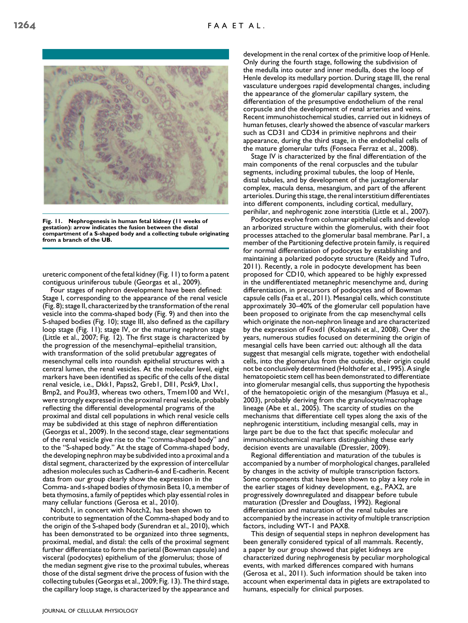

Fig. 11. Nephrogenesis in human fetal kidney (11 weeks of gestation): arrow indicates the fusion between the distal compartment of a S-shaped body and a collecting tubule originating from a branch of the UB.

ureteric component of the fetal kidney (Fig. 11) to form a patent contiguous uriniferous tubule (Georgas et al., 2009).

Four stages of nephron development have been defined: Stage I, corresponding to the appearance of the renal vesicle (Fig. 8); stage II, characterized by the transformation of the renal vesicle into the comma-shaped body (Fig. 9) and then into the S-shaped bodies (Fig. 10); stage III, also defined as the capillary loop stage (Fig. 11); stage IV, or the maturing nephron stage (Little et al., 2007; Fig. 12). The first stage is characterized by the progression of the mesenchymal–epithelial transition, with transformation of the solid pretubular aggregates of mesenchymal cells into roundish epithelial structures with a central lumen, the renal vesicles. At the molecular level, eight markers have been identified as specific of the cells of the distal renal vesicle, i.e., Dkk1, Papss2, Greb1, Dll1, Pcsk9, Lhx1, Bmp2, and Pou3f3, whereas two others, Tmem100 and Wt1, were strongly expressed in the proximal renal vesicle, probably reflecting the differential developmental programs of the proximal and distal cell populations in which renal vesicle cells may be subdivided at this stage of nephron differentiation (Georgas et al., 2009). In the second stage, clear segmentations of the renal vesicle give rise to the ''comma-shaped body'' and to the ''S-shaped body.'' At the stage of Comma-shaped body, the developing nephron may be subdivided into a proximal and a distal segment, characterized by the expression of intercellular adhesion molecules such as Cadherin-6 and E-cadherin. Recent data from our group clearly show the expression in the Comma- and s-shaped bodies of thymosin Beta 10, a member of beta thymosins, a family of peptides which play essential roles in many cellular functions (Gerosa et al., 2010).

Notch1, in concert with Notch2, has been shown to contribute to segmentation of the Comma-shaped body and to the origin of the S-shaped body (Surendran et al., 2010), which has been demonstrated to be organized into three segments, proximal, medial, and distal: the cells of the proximal segment further differentiate to form the parietal (Bowman capsule) and visceral (podocytes) epithelium of the glomerulus; those of the median segment give rise to the proximal tubules, whereas those of the distal segment drive the process of fusion with the collecting tubules (Georgas et al., 2009; Fig. 13). The third stage, the capillary loop stage, is characterized by the appearance and

development in the renal cortex of the primitive loop of Henle. Only during the fourth stage, following the subdivision of the medulla into outer and inner medulla, does the loop of Henle develop its medullary portion. During stage III, the renal vasculature undergoes rapid developmental changes, including the appearance of the glomerular capillary system, the differentiation of the presumptive endothelium of the renal corpuscle and the development of renal arteries and veins. Recent immunohistochemical studies, carried out in kidneys of human fetuses, clearly showed the absence of vascular markers such as CD31 and CD34 in primitive nephrons and their appearance, during the third stage, in the endothelial cells of the mature glomerular tufts (Fonseca Ferraz et al., 2008).

Stage IV is characterized by the final differentiation of the main components of the renal corpuscles and the tubular segments, including proximal tubules, the loop of Henle, distal tubules, and by development of the juxtaglomerular complex, macula densa, mesangium, and part of the afferent arterioles. During this stage, the renal interstitium differentiates into different components, including cortical, medullary, perihilar, and nephrogenic zone interstitia (Little et al., 2007).

Podocytes evolve from columnar epithelial cells and develop an arborized structure within the glomerulus, with their foot processes attached to the glomerular basal membrane. Par1, a member of the Partitioning defective protein family, is required for normal differentiation of podocytes by establishing and maintaining a polarized podocyte structure (Reidy and Tufro, 2011). Recently, a role in podocyte development has been proposed for CD10, which appeared to be highly expressed in the undifferentiated metanephric mesenchyme and, during differentiation, in precursors of podocytes and of Bowman capsule cells (Faa et al., 2011). Mesangial cells, which constitute approximately 30–40% of the glomerular cell population have been proposed to originate from the cap mesenchymal cells which originate the non-nephron lineage and are characterized by the expression of Foxd1 (Kobayashi et al., 2008). Over the years, numerous studies focused on determining the origin of mesangial cells have been carried out: although all the data suggest that mesangial cells migrate, together with endothelial cells, into the glomerulus from the outside, their origin could not be conclusively determined (Holthofer et al., 1995). A single hematopoietic stem cell has been demonstrated to differentiate into glomerular mesangial cells, thus supporting the hypothesis of the hematopoietic origin of the mesangium (Masuya et al., 2003), probably deriving from the granulocyte/macrophage lineage (Abe et al., 2005). The scarcity of studies on the mechanisms that differentiate cell types along the axis of the nephrogenic interstitium, including mesangial cells, may in large part be due to the fact that specific molecular and immunohistochemical markers distinguishing these early decision events are unavailable (Dressler, 2009).

Regional differentiation and maturation of the tubules is accompanied by a number of morphological changes, paralleled by changes in the activity of multiple transcription factors. Some components that have been shown to play a key role in the earlier stages of kidney development, e.g., PAX2, are progressively downregulated and disappear before tubule maturation (Dressler and Douglass, 1992). Regional differentiation and maturation of the renal tubules are accompanied by the increase in activity of multiple transcription factors, including WT-1 and PAX8.

This design of sequential steps in nephron development has been generally considered typical of all mammals. Recently, a paper by our group showed that piglet kidneys are characterized during nephrogenesis by peculiar morphological events, with marked differences compared with humans (Gerosa et al., 2011). Such information should be taken into account when experimental data in piglets are extrapolated to humans, especially for clinical purposes.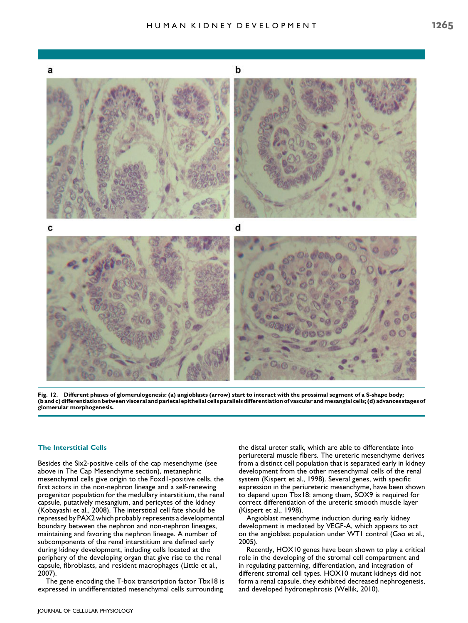

Fig. 12. Different phases of glomerulogenesis: (a) angioblasts (arrow) start to interact with the prossimal segment of a S-shape body; (b and c) differentiation between visceral and parietal epithelial cells parallels differentiation of vascular andmesangial cells; (d) advances stages of glomerular morphogenesis.

## The Interstitial Cells

Besides the Six2-positive cells of the cap mesenchyme (see above in The Cap Mesenchyme section), metanephric mesenchymal cells give origin to the Foxd1-positive cells, the first actors in the non-nephron lineage and a self-renewing progenitor population for the medullary interstitium, the renal capsule, putatively mesangium, and pericytes of the kidney (Kobayashi et al., 2008). The interstitial cell fate should be repressed by PAX2 which probably represents a developmental boundary between the nephron and non-nephron lineages, maintaining and favoring the nephron lineage. A number of subcomponents of the renal interstitium are defined early during kidney development, including cells located at the periphery of the developing organ that give rise to the renal capsule, fibroblasts, and resident macrophages (Little et al., 2007).

The gene encoding the T-box transcription factor Tbx18 is expressed in undifferentiated mesenchymal cells surrounding

the distal ureter stalk, which are able to differentiate into periureteral muscle fibers. The ureteric mesenchyme derives from a distinct cell population that is separated early in kidney development from the other mesenchymal cells of the renal system (Kispert et al., 1998). Several genes, with specific expression in the periureteric mesenchyme, have been shown to depend upon Tbx18: among them, SOX9 is required for correct differentiation of the ureteric smooth muscle layer (Kispert et al., 1998).

Angioblast mesenchyme induction during early kidney development is mediated by VEGF-A, which appears to act on the angioblast population under WT1 control (Gao et al., 2005).

Recently, HOX10 genes have been shown to play a critical role in the developing of the stromal cell compartment and in regulating patterning, differentiation, and integration of different stromal cell types. HOX10 mutant kidneys did not form a renal capsule, they exhibited decreased nephrogenesis, and developed hydronephrosis (Wellik, 2010).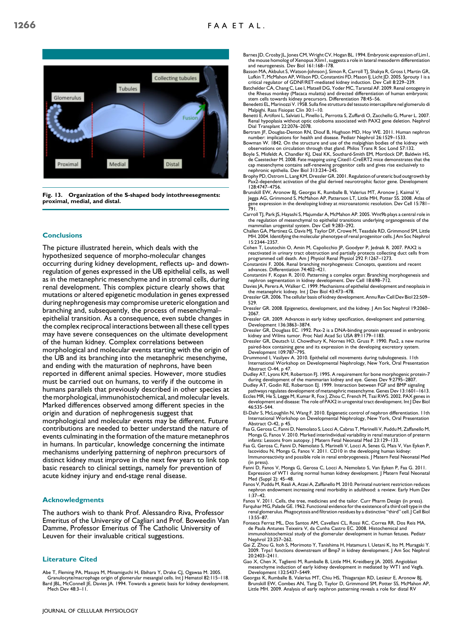

Fig. 13. Organization of the S-shaped body intothreesegments: proximal, medial, and distal.

# **Conclusions**

The picture illustrated herein, which deals with the hypothesized sequence of morpho-molecular changes occurring during kidney development, reflects up- and downregulation of genes expressed in the UB epithelial cells, as well as in the metanephric mesenchyme and in stromal cells, during renal development. This complex picture clearly shows that mutations or altered epigenetic modulation in genes expressed during nephrogenesis may compromise ureteric elongation and branching and, subsequently, the process of mesenchymal– epithelial transition. As a consequence, even subtle changes in the complex reciprocal interactions between all these cell types may have severe consequences on the ultimate development of the human kidney. Complex correlations between morphological and molecular events starting with the origin of the UB and its branching into the metanephric mesenchyme, and ending with the maturation of nephrons, have been reported in different animal species. However, more studies must be carried out on humans, to verify if the outcome in humans parallels that previously described in other species at the morphological, immunohistochemical, and molecular levels. Marked differences observed among different species in the origin and duration of nephrogenesis suggest that morphological and molecular events may be different. Future contributions are needed to better understand the nature of events culminating in the formation of the mature metanephros in humans. In particular, knowledge concerning the intimate mechanisms underlying patterning of nephron precursors of distinct kidney must improve in the next few years to link top basic research to clinical settings, namely for prevention of acute kidney injury and end-stage renal disease.

### Acknowledgments

The authors wish to thank Prof. Alessandro Riva, Professor Emeritus of the University of Cagliari and Prof. Boweedin Van Damme, Professor Emeritus of The Catholic University of Leuven for their invaluable critical suggestions.

## Literature Cited

Abe T, Fleming PA, Masuya M, Minamiguchi H, Ebihara Y, Drake CJ, Ogawaa M. 2005. Granulocyte/macrophage origin of glomerular mesangial cells. Int J Hematol 82:115–118. Bard JBL, McConnell JE, Davies JA. 1994. Towards a genetic basis for kidney development.

- Barnes JD, Crosby JL, Jones CM, Wright CV, Hogan BL. 1994. Embryonic expression of Lim1, the mouse homolog of Xenopus Xlim1, suggests a role in lateral mesoderm differentiation and neurogenesis. Dev Biol 161:168–178.
- Basson MA, Akbulut S, Watson-Johnson J, Simon R, Carroll TJ, Shakya R, Gross I, Martin GR, Lufkin T, McMahon AP, Wilson PD, Constantini FD, Mason IJ, Licht JD. 2005. Sprouty 1 is a<br>critical regulator of GDNF/RET-mediated kidney induction. Dev Cell 8:229–239.<br>Batchelder CA, Chang C, Lee I, Matsell DG, Yoder MC, T
- the Rhesus monkey (Macaca mulatta) and directed differentiation of human embryonic stem cells towards kidney precursors. Differentiation 78:45–56. Benedetti EL, Marinozzi V. 1958. Sulla fine struttura del tessuto intercapillare nel glomerulo di
- Malpighi. Rass Fisiopat Clin 30:1–10.
- Benetti E, Artifoni L, Salviati L, Pinello L, Perrotta S, Zuffardi O, Zacchello G, Murer L. 2007. Renal hypoplasia without optic coloboma associated with PAX2 gene deletion. Nephrol Dial Transplant 22:2076–2078.
- Bertram JF, Douglas-Denton RN, Diouf B, Hughson MD, Hoy WE. 2011. Human nephron number: implications for health and disease. Pediatr Nephrol 26:1529–1533. Bowman W. 1842. On the structure and use of the malpighian bodies of the kidney with
- observations on circulation through that gland. Philos Trans R Soc Lond 57:132. Boyle S, Misfeldt A, Chandler KJ, Deal KK, Southard-Smith EM, Mortlock DP, Baldwin HS, de Caestecker M. 2008. Fate mapping using Cited1-CreERT2 mice demonstrates that the
- cap mesenchyme contains self-renewing progenitor cells and gives rise exclusively to nephronic epithelia. Dev Biol 313:234–245. Brophy PD, Ostrom L, Lang KM, Dressler GR. 2001. Regulation of ureteric bud outgrowth by
- Pax2-dependent activation of the glial derived neurotrophic factor gene. Development 128:4747–4756.
- Brunskill EW, Aronow BJ, Georgas K, Rumballe B, Valerius MT, Aronow J, Kaimal V, Jegga AG, Grimmond S, McMahon AP, Patterson LT, Little MH, Potter SS. 2008. Atlas of gene expression in the developing kidney at microanatomic resolution. Dev Cell 15:781– 791.
- Carroll TJ, Park JS, Hayashi S, Majumdar A, McMahon AP. 2005. Wnt9b plays a central role in the regulation of mesenchymal to epithelial transitions underlying organogenesis of the
- mammalian urogenital system. Dev Cell 9:283–292. Challen GA, Martinez G, Davis MJ, Taylor DF, Crowe M, Teasdale RD, Grimmond SM, Little MH. 2004. Identifying the molecular phenotype of renal progenitor cells. J Am Soc Nephrol 15:2344–2357.
- Cohen T, Loutochin O, Amin M, Capolicchio JP, Goodyer P, Jednak R. 2007. PAX2 is reactivated in urinary tract obstruction and partially protects collecting duct cells from
- programmed cell death. Am J Physiol Renal Physiol 292 F:1267–1273. Constantini F. 2006. Renal branching morphogenesis: Concepts, questions and recent advances. Differentiation 74:402–421.
- Constantini F, Kopan R. 2010. Patterning a complex organ: Branching morphogenesis and nephron segmentation in kidney development. Dev Cell 18:698–712.
- Davies JA, Perera A, Walker C. 1999. Mechanisms of epithelial development and neoplasia in the metanephric kidney. Int | Dev Biol 43:473-478.
- Dressler GR. 2006. The cellular basis of kidney development. Annu Rev Cell Dev Biol 22:509– 529.
- Dressler GR. 2008. Epigenetics, development, and the kidney. J Am Soc Nephrol 19:2060– 2067.
- Dressler GR. 2009. Advances in early kidney specification, development and patterning. Development 136:3863–3874.
- Dressler GR, Douglass EC. 1992. Pax-2 is a DNA-binding protein expressed in embryonic kidney and Wilms tumor. Proc Natl Acad Sci USA 89:1179-1183.
- Dressler GR, Deutsch U, Chowdhury K, Nornes HO, Gruss P. 1990. Pax2, a new murine paired-box containing gene and its expression in the developing excretory system. Development 109:787–795.
- Drummond I, Vasilyev A. 2010. Epithelial cell movements during tubulogenesis. 11th International Workshop on Developmental Nephrology, New York, Oral Presentation Abstract O-44, p 47.
- Dudley AT, Lyons KM, Robertson FJ. 1995. A requirement for bone morphogenic protein-7 during development of the mammarian kidney and eye. Genes Dev 9:2795–2807.
- Dudley AT, Godin RE, Robertson EJ. 1999. Interaction between FGF and BMP signalin pathways regulates development of metanephric mesenchyme. Genes Dev 13:1601–1613.
- Eccles MR, He S, Legge M, Kumar R, Fox J, Zhou C, French M, Tsai RWS. 2002. PAX genes in development and disease: The role of PAX2 in urogenital tract development. Int J Dev Biol 46:535–544.
- El-Dahr S, McLoughlin N, Wang F. 2010. Epigenetic control of nephron differentiation. 11th International Workshop on Developmental Nephrology, New York, Oral Presentation Abstract O-42, p 45.
- Faa G, Gerosa C, Fanni D, Nemolato S, Locci A, Cabras T, Marinelli V, Puddu M, Zaffanello M, Monga G, Fanos V. 2010. Marked interindividual variability in renal maturation of preterm infants: Lessons from autopsy. J Matern Fetal Neonatal Med 23:129–133.
- Faa G, Gerosa C, Fanni D, Nemolato S, Marinelli V, Locci A, Senes G, Mais V, Van Eyken P, Iacovidou N, Monga G, Fanos V. 2011. CD10 in the developing human kidney: Immunoreactivity and possible role in renal embryogenesis. J Matern Fetal Neonatal Med
- (in press). Fanni D, Fanos V, Monga G, Gerosa C, Locci A, Nemolato S, Van Eyken P, Faa G. 2011. Expression of WT1 during normal human kidney development. J Matern Fetal Neonatal Med (Suppl 2): 45–48.
- Fanos V, Puddu M, Reali A, Atzei A, Zaffanello M. 2010. Perinatal nutrient restriction reduces nephron endowment increasing renal morbidity in adulthood: a review. Early Hum Dev 1:37–42.
- Fanos V. 2011. Cells, the tree, medicines and the tailor. Curr Pharm Design (in press).
- Farquhar MG, Palade GE. 1962. Functional evidence for the existence of a third cell renal glomerulus. Phagocytosis and filtration residues by a distinctive ''third'' cell. J Cell Biol 13:55–87.
- Fonseca Ferraz ML, Dos Santos AM, Cavellani CL, Rossi RC, Correa RR, Dos Reis MA, de Paula Antunes Teixeira V, da Cunha Castro EC. 2008. Histochemical and immunohistochemical study of the glomerular development in human fetuses. Pediatr Nephrol 23:257–262.
- Gai Z, Zhou G, Itoh S, Morimoto Y, Tanishima H, Hatamura I, Uetani K, Ito M, Muragaki Y. 2009. Trps1 functions downstream of Bmp7 in kidney development. J Am Soc Nephrol 20:2403–2411.
- Gao X, Chen X, Taglienti M, Rumballe B, Little MH, Kreidberg JA. 2005. Angioblast mesenchyme induction of early kidney development in mediated by WT1 and Vegfa. Development 132:5437–5449.
- Georgas K, Rumballe B, Valerius MT, Chiu HS, Thiagarajan RD, Lesieur E, Aronow BJ, Brunskill EW, Combes AN, Tang D, Taylor D, Grimmond SM, Potter SS, McMahon AP, Little MH. 2009. Analysis of early nephron patterning reveals a role for distal RV

Mech Dev 48:3-11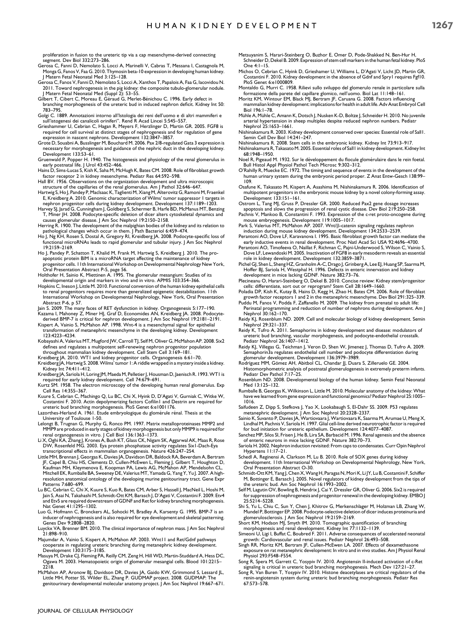proliferation in fusion to the ureteric tip via a cap mesenchyme-derived connecting segment. Dev Biol 332:273–286.

- Gerosa C, Fanni D, Nemolato S, Locci A, Marinelli V, Cabras T, Messana I, Castagnola M, Monga G, Fanos V, Faa G. 2010. Thymosin beta-10 expression in developing human kidney. J Matern Fetal Neonatal Med 3:125–128.
- Gerosa C, Fanos V, Fanni D, Nemolato S, Locci A, Xanthos T, Papalois A, Faa G, Iacovidou N. 2011. Toward nephrogenesis in the pig kidney: the composite tubulo-glomerular nodule. J Matern Fetal Neonatal Med (Suppl 2): 53–55.
- Gilbert T, Cibert C, Moreau E, Géraud G, Merlet-Bénichou C. 1996. Early defect in branching morphogenesis of the ureteric bud in induced nephron deficit. Kidney Int 50: 783–795.
- Golgi C. 1889. Annotazioni intorno all'Istologia dei reni dell'uomo e di altri mammiferi e sull'istogenesi dei canalicoli oriniferi''. Rend R Acad Lincei 5:545–557.
- Grieshammer U, Cebrian C, Hagan R, Meyers F, Herzlinger D, Martin GR. 2005. FGF8 is required for cell survival at distinct stages of nephrogenesis and for regulation of gene expression in nascent nephrons. Development 132:3847–3857.
- Grote D, Souabni A, Busslinger M, Bouchard M. 2006. Pax 2/8-regulated Gata 3 expression is necessary for morphogenesis and guidance of the nephric duct in the developing kidney. Development 133:53–61.
- Gruenwald P, Popper H. 1940. The histogenesis and physiology of the renal glomerulus in early postnatal life. J Urol 43:452–466.
- Hains D, Sims-Lucas S, Kish K, Saha M, McHugh K, Bates CM. 2008. Role of fibroblast growth factor receptor 2 in kidney mesenchyme. Pediatr Res 64:592–598.
- Hall BV. 1956. Observations on the organization development and ultra microsco structure of the capillaries of the renal glomerulus. Am J Pathol 32:646–647.
- Hartwig S, Ho J, Pandey P, Maclsaac K, Taglienti M, Xiang M, Alterovitz G, Ramoni M, Fraenkel E, Kreidberg A. 2010. Genomic characterization of Wilms' tumor suppressor 1 targets in nephron progenitor cells during kidney development. Development 137:1189–1203.
- Harvey SJ, Jarad G, Cunningham J, Goldberg S, Schermer B, Harfe BD, McManus MT, Benzing T, Miner JH. 2008. Podocyte-specific deletion of dicer alters cytoskeletal dynamics and causes glomerular disease. J Am Soc Nephrol 19:2150–2158.
- Herring R. 1900. The development of the malpighian bodies of the kidney and its relation to pathological changes which occur in them. J Path Bacteriol 6:459–474.
- Ho J, Ng KH, Rosen S, Dostal A, Gregory RI, Kreidberg JA. 2008. Podocyte-specific loss of functional microRNAs leads to rapid glomerular and tubular injury. J Am Soc Nephrol 19:2159–2169.
- Ho J, Pandey P, Schatton T, Khalid M, Frank M, Hartwig S, Kreidberg J. 2010. The proapoptotic protein BIM is a microRNA target affecting the maintenance of kidney<br>progenitor cells. I I th International Workshop on Developmental Nephrology New York,<br>Oral Presentation Abstract P-5, page 56.
- Holthofer H, Sainio K, Miettinen A. 1995. The glomerular mesangium: Studies of its developmental origin and markers in vivo and in vitro. APMIS 103:354–366.
- Hopkins C, Ineson J, Little M. 2010. Functional conversion of the human kidney epithelial cells to renal progenitors requires more than generalized epigenetic destabilization. 11th International Workshop on Developmental Nephrology, New York, Oral Presentation Abstract P-6, p 57. Jain S. 2009. The many faces of RET dysfunction in kidney. Organogenesis 5:177–190.
- 
- Kazama I, Mahoney Z, Miner HJ, Graf D, Economides AN, Kreidberg JA. 2008. Podocyte-<br>derived BMP-7 is critical for nephron development. J Am Soc Nephrol 19:2181–2191.<br>Kispert A, Vainio S, McMahon AP. 1998. Wnt-4 is a mesenc transformation of metanephric mesenchyme in the developing kidney. Development
- 123:4223–4234. Kobayashi A, Valerius MT, Mugford JW, Carroll TJ, Self M, Oliver G, McMahon AP. 2008. Six2
- defines and regulates a multipotent self-renewing nephron progenitor population throughout mammalian kidney development. Cell Stem Cell 3:169-181
- Kreidberg JA. 2010. WT1 and kidney progenitor cells. Organogenesis 6:61–70. Kreidberg JA, Hartwig S. 2008.Wilms' tumor 1: A riddle wrapped in a mystery inside a kidney.
- Kidney Int 74:411–412. Kreidberg JA, Sariola H, Loring JM, Maeda M, Pelletier J, Housman D, Jaenisch R. 1993.WT1 is required for early kidney development. Cell 74:679–691.
- Kurtz SM. 1958. The electron microscopy of the developing human renal glomerulus. Exp
- Cell Res 14:355–367. Kuure S, Cebrian C, Machingo Q, Lu BC, Chi X, Hyink D, D'Agati V, Gurniak C, Witke W, Costantini F. 2010. Actin depolymerizing factors Cofilin1 and Destrin are required for ureteric bud branching morphogenesis. PloS Genet 6:e1001176.
- Lazorthes-Herland A. 1961. Etude embryologique du glomérule rénal. Thesis at the University of Toulouse 1-50.
- Lelongt B, Trugnan G, Murphy G, Ronco PM. 1997. Matrix metalloproteinases MMP2 and MMP9 are produced in early stages of kidney morphogenesis but only MMP9 is required for renal organogenesis in vitro. J Cell Biol 136:1363–1373.
- Li X, Oghi KA, Zhang J, Krones A, Bush KT, Glass CK, Nigam SK, Aggarwal AK, Maas R, Rose<br>DW, Rosenfeld MG. 2003. Eya protein phosphatase activity regulates Six I-Dach-Eya<br>transcriptional effects in mammalian organogenesis.
- JF, Capel B, Chiu HS, Clements D, Cullen-McEwen L, Fleming J, Gilbert T, Houghton D,<br>Kaufman MH, Kleymenova E, Koopman PA, Lewis AG, McMahon AP, Mendelsohn CL,<br>Mitchell EK, Rumballe BA, Sweeney DE, Valerius MT, Yamada G, Y resolution anatomical ontology of the developing murine genitourinary tract. Gene Expr Patterns 7:680–699.
- Lu BC, Cebrian C, Chi X, Kuure S, Kuo R, Bates CM, Arber S, Hassell J, MacNeil L, Hoshi M, Jain S, Asai N, Takahashi M, Schmidt-Ott KM, Barasch J, D'Agati V, Costantini F. 2009. Etv4 and Etv5 are required downstream of GDNF and Ret for kidney branching morphogenesis. Nat Genet 41:1295–1302.
- Luo G, Hofmann C, Bronckers AL, Sohocki M, Bradley A, Karsenty G. 1995. BMP-7 is an inducer of nephrogenesis and is also required for eye development and skeletal patterning. Genes Dev 9:2808–2820.
- Luyckx VA, Brenner BM. 2010. The clinical importance of nephron mass. J Am Soc Nephrol 21:898–910.
- Majumdar A, Vainio S, Kispert A, McMahon AP. 2003. Wnt11 and Ret/Gdnf pathways cooperate in regulating ureteric branching during metanephric kidney development. Development 130:3175–3185.
- Masuya M, Drake CJ, Fleming PA, Reilly CM, Zeng H, Hill WD, Martin-Studdard A Ogawa M. 2003. Hematopoietic origin of glomerular mesangial cells. Blood 101:2215– 2218.
- McMahon AP, Aronow BJ, Davidson DR, Davies JA, Gaido KW, Grimmond S, Lessard JL,<br>Little MH, Potter SS, Wilder EL, Zhang P. GUDMAP project. 2008. GUDMAP: The<br>genitourinary developmental molecular anatomy project. J Am Soc N
- Metsuyanim S, Harari-Steinberg O, Buzhor E, Omer D, Pode-Shakked N, Ben-Hur H, Schneider D, Dekel B. 2009. Expression of stem cell markers in the human fetal kidney. PloS One 4:1–15.
- Michos O, Cebrian C, Hyink D, Grieshamer U, Williams L, D'Agati V, Licht JD, Martin GR, Costantini F. 2010. Kidney development in the absence of Gdnf and Spry1 requires Fgf10. PloS Genet 6:e1000809.
- Montaldo G, Murri C. 1958. Rilievi sullo sviluppo del glomerulo renale in particolare sulla formazione della parete del capillare glomico, nell'uomo. Biol Lat 11:148–161.
- Moritz KM, Wintour EM, Black MJ, Bertram JF, Caruana G. 2008. Factors influencing mammalian kidney development: implications for health in adult life. Adv Anat Embryol Cell Biol 196:1–78.
- Mühle A, Mühle C, Amann K, Dotsch J, Nusken K-D, Boltze J, Schneider H. 2010. No juvenile arterial hypertension in sheep multiples despite reduced nephron numbers. Pediatr Nephrol 25:1653–1661.
- Nishinakamura R. 2003. Kidney development conserved over species: Essential role of Sall1. Semin Cell Dev Biol 14:241-247.
- Nishinakamura R. 2008. Stem cells in the embryonic kidney. Kidney Int 73:913–917. Nishinakamura R, Takasato M. 2005. Essential roles of Sall1 in kidney development. Kidney Int
- 68:1948–1950.
- Noel R, Pigeaud M. 1932. Sur le développement du flocule glomérulaire dans le rein foetal. Bull Histol Appl Physiol Pathol Tech Microsc 9:302–312. O'Rahilly R, Muecke EC. 1972. The timing and sequence of events in the development of the
- human urinary system during the embryonic period proper. Z Anat Entw-Gesch 138:99– 109.
- Osafune K, Takasato M, Kispert A, Asashima M, Nishinakamura R. 2006. Identification of multipotent progenitors in the embryonic mouse kidney by a novel colony-forming assay. Development 133:151–161.
- Ostrom L, Tang MJ, Gruss P, Dressler GR. 2000. Reduced Pax2 gene dosage increases
- apoptosis and slows the progression of renal cystic disease. Dev Biol 219:250–258. Pachnis V, Mankoo B, Constantini F. 1993. Expression of the c-ret proto-oncogene during mouse embryogenesis. Development 119:1005–1017.
- Park S, Valerius MT, McMahon AP. 2007. Wnt/β-catenin signaling regulates nephron<br>induction during mouse kidney development. Development 134:2533–2539.
- Perantoni AO, Dove LF, Karavanova I. 1995. Basic fibroblast growth factor can mediate the early inductive events in renal development. Proc Natl Acad Sci USA 92:4696–4700. Perantoni AO, Timofeeva O, Naillat F, Richman C, Pajni-Underwood S, Wilson C, Vainio S,
- Dove LF, Lewandoski M. 2005. Inactivation of FGF8 in early mesoderm reveals an essential role in kidney development. Development 132:3859–3871. Pichel GJ, Shen L, Sheng HZ, Granholm A-C, Drago J, Grinberg A, Lee EJ, Huang SP, Saarma M,
- Hoffer BJ, Sariola H, Westphal H. 1996. Defects in enteric innervation and kidney development in mice lacking GDNF. Nature 382:73–76.
- Plecineanu O, Harari-Steinberg O, Dekel B. 2010. Concise review: Kidney stem/progenitor cells: differentiate, sort out or reprogram? Stem Cell 28:1649–1660.
- Poladia DP, Kish K, Kutay B, Hains D, Kegg H, Zhao H, Bates CM. 2006. Role of fibroblast growth factor receptors 1 and 2 in the metanephric mesenchyme. Dev Biol 291:325–339. Puddu M, Fanos V, Podda F, Zaffanello M. 2009. The kidney from prenatal to adult life:
- Perinatal programming and reduction of number of nephrons during development. Am | Nephrol 30:162–170.
- Reidy KJ, Rosenblum ND. 2009. Cell and molecular biology of kidney development. Semin Nephrol 29:321–337.
- Reidy K, Tufro A. 2011. Semaphorins in kidney development and disease: modulators of ureteric bud branching, vascular morphogenesis, and podocyte-endothelial crosstalk. Pediatr Nephrol 26:1407–1412.
- Reidy KJ, Villegas G, Teichman J, Veron D, Shen W, Jimenez J, Thomas D, Tufro A. 2009. Semaphorin3a regulates endothelial cell number and podocyte differentiation during<br>glomerular development. Development 136:3979–3989.<br>Rodríguez MM, Gómez AH, Abitbol CL, Chandar JJ, Duara S, Zilleruelo GE. 2004.
- Histomorphometric analysis of postnatal glomerulogenesis in extremely preterm infants. Pediatr Dev Pathol 7:17–25.
- Rosenblum ND. 2008. Developmental biology of the human kidney. Semin Fetal Neonatal Med 13:125–132.
- Rumballe B, Georgas K, Wilkinson L, Little M. 2010. Molecular anatomy of the kidney: What have we learned from gene expression and functional genomics? Pediatr Nephrol 25:1005-1016.
- Saifudeen Z, Dipp S, Stefkova J, Yao X, Lookabaugh S, El-Dahr SS. 2009. P53 regulates metanephric development. J Am Soc Nephrol 20:2328–2337. Sainio K, Suvanto P, Davies JA, Wartiovaara J, Wartiovaara K, Saarma M, Arumae U, Meng X,
- Lindhal M, Pachnis V, Sariola H. 1997. Glial cell-line derived neurotrophic factor is required
- for bud initiation for ureteric epithelium. Development 124:4077–4087. Sanchez MP, Silos SI, Frisen J, He B, Lira SA, Barbacid M. 1996. Renal agenesis and the absence of enteric neurons in mice lacking GDNF. Nature 382:70–73.
- Sariola H. 2002. Nephron induction revisited: From caps to condensates. Curr Opin Nephrol Hypertens 11:17–21.
- Schedl A, Reginensi A, Clarkson M, Lu B. 2010. Role of SOX genes during kidney development. 11th International Workshop on Developmental Nephrology, New York, Oral Presentation Abstract O-30.
- Schmidt-Ott KM, Yang J, Chen X, Wang H, Paragas N, Mori K, Li JY, Lu B, Costantini F, Schiffer M, Bottinger E, Barasch J. 2005. Novel regulators of kidney development from the tips of the ureteric bud. Am Soc Nephrol 16:1993–2002.
- Self M, Lagutin OV, Bowling B, Hendrix J, Cai Y, Dressler GR, Oliver G. 2006. Six2 is required for suppression of nephrogenesis and progenitor renewal in the developing kidney. EMBO J 25:5214–5228.
- Shi S, Yu L, Chiu C, Sun Y, Chen J, Khitrov G, Merkenschlager M, Holzman LB, Zhang W, Mundel P, Bottinger EP. 2008. Podocyte-selective deletion of dicer induces proteinuria and glomerulosclerosis. J Am Soc Nephrol 19:2159–2169.
- Short KM, Hodson MJ, Smyth IM. 2010. Tomographic quantification of branching morphogenesis and renal development. Kidney Int 77:1132–1139.
- Simeoni U, Ligi I, Buffat C, Boubred F. 2011. Adverse consequences of accelerated neonatal growth: Cardiovascular and renal issues. Pediatr Nephrol 26:493–508.
- Singh RR, Moritz KM, Bertram JF, Cullen-McEwen LA. 2007. Effects of dexamethasone exposure on rat metanephric development: In vitro and in vivo studies. Am J Physiol Renal Physiol 293:F548–F554.
- Song R, Spera M, Garrett C, Yosypiv IV. 2010. Angiotensin II-induced activation of c-Ret signaling is critical in ureteric bud branching morphogenesis. Mech Dev 127:21–27.
- Song R, Van Buren T, Yosypiv IV. 2010. Histone deacetylases are critical regulators of the renin-angiotensin system during ureteric bud branching morphogenesis. Pediatr Res 67:573–578.